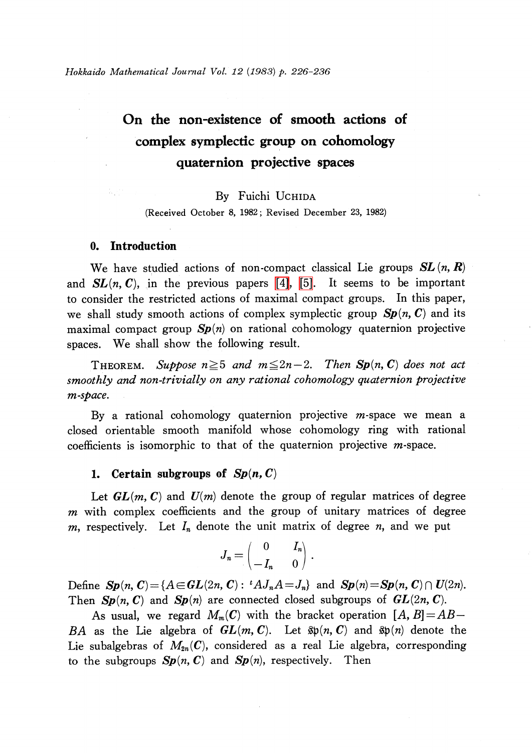# On the non-existence of smooth actions of complex symplectic group on cohomology quaternion projective spaces

# By Fuichi UCHIDA

(Received October 8, 1982; Revised December 23, 1982)

## 0. Introduction

We have studied actions of non-compact classical Lie groups  $SL(n, R)$ and  $SL(n, C)$ , in the previous papers [\[4\],](#page-10-0) [\[5\].](#page-10-1) It seems to be important to consider the restricted actions of maximal compact groups. In this paper, we shall study smooth actions of complex symplectic group  $Sp(n, C)$  and its maximal compact group  $Sp(n)$  on rational cohomology quaternion projective spaces. We shall show the following result.

THEOREM. Suppose  $n \geq 5$  and  $m \leq 2n-2$ . Then Sp(n, C) does not act smoothly and non-trivially on any rational cohomology quaternion projective m-space.

By a rational cohomology quaternion projective  $m$ -space we mean a closed orientable smooth manifold whose cohomology ring with rational coefficients is isomorphic to that of the quaternion projective m-space.

#### 1. Certain subgroups of  $Sp(n, C)$

Let  $GL(m, C)$  and  $U(m)$  denote the group of regular matrices of degree  $m$  with complex coefficients and the group of unitary matrices of degree m, respectively. Let  $I_{n}$  denote the unit matrix of degree n, and we put

$$
J_n = \begin{pmatrix} 0 & I_n \\ -I_n & 0 \end{pmatrix}
$$

Define  $Sp(n, C) = \{A \in GL(2n, C): {}^{t}AJ_{n}A = J_{n}\}$  and  $Sp(n) = Sp(n, C) \cap U(2n)$ . Then  $Sp(n, C)$  and  $Sp(n)$  are connected closed subgroups of  $GL(2n, C)$ .

As usual, we regard  $M_{m}(C)$  with the bracket operation  $[A, B]=AB-$ BA as the Lie algebra of  $GL(m, C)$ . Let  $\mathfrak{sp}(n, C)$  and  $\mathfrak{sp}(n)$  denote the Lie subalgebras of  $M_{2n}(C)$ , considered as a real Lie algebra, corresponding to the subgroups  $Sp(n, C)$  and  $Sp(n)$ , respectively. Then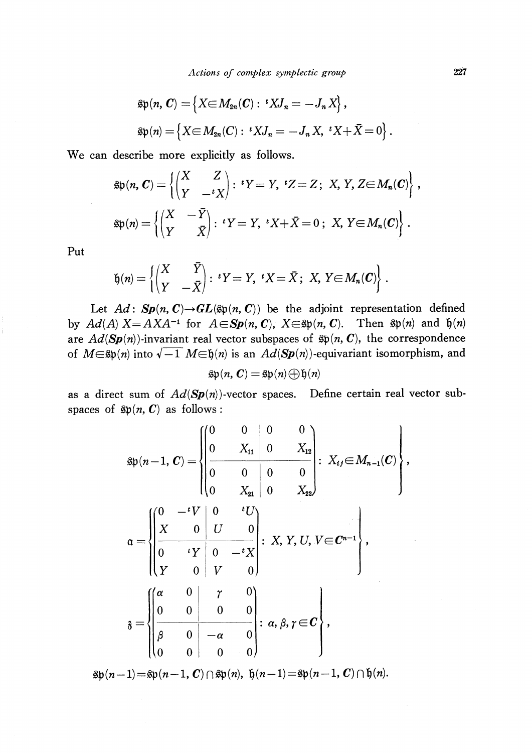$$
\mathfrak{sp}(n, \mathbf{C}) = \{ X \in M_{2n}(\mathbf{C}) : {}^{t}X J_n = -J_n X \},
$$
  

$$
\mathfrak{sp}(n) = \{ X \in M_{2n}(\mathbf{C}) : {}^{t}X J_n = -J_n X, {}^{t}X + \overline{X} = 0 \}
$$

We can describe more explicitly as follows.

$$
\mathfrak{sp}(n, \mathbf{C}) = \left\{ \begin{pmatrix} X & Z \\ Y & -\iota X \end{pmatrix} : \, \iota Y = Y, \, \, \iota Z = Z; \, \, X, \, Y, \, Z \in M_n(\mathbf{C}) \right\},
$$
\n
$$
\mathfrak{sp}(n) = \left\{ \begin{pmatrix} X & -\bar{Y} \\ Y & \bar{X} \end{pmatrix} : \, \iota Y = Y, \, \, \iota X + \bar{X} = 0; \, \, X, \, Y \in M_n(\mathbf{C}) \right\}.
$$

Put

$$
\mathfrak{h}(n) = \left\{ \begin{pmatrix} X & \overline{Y} \\ Y & -\overline{X} \end{pmatrix} : \, \,^tY = Y, \, \,^tX = \overline{X} \, ; \, \, X, \, Y \in M_n(\mathcal{C}) \right\} \, .
$$

Let  $Ad:Sp(n, C) {\rightarrow} GL(\mathfrak{sp}(n, C))$  be the adjoint representation defined by  $Ad(A)$   $X = AXA^{-1}$  for  $A \in \mathbf{Sp}(n, \mathbb{C})$ ,  $X \in \mathfrak{sp}(n, \mathbb{C})$ . Then  $\mathfrak{sp}(n)$  and  $\mathfrak{h}(n)$ are  $Ad(\mathbf{Sp}(n))$ -invariant real vector subspaces of  $\mathfrak{sp}(n, \mathbf{C}),$  the correspondence of  $M\in \mathfrak{sp}(n)$  into  $\sqrt{-1}M\in \mathfrak{h}(n)$  is an  $Ad(Sp(n))$ -equivariant isomorphism, and

$$
\mathfrak{sp}(n,\,\boldsymbol{C})=\mathfrak{sp}(n)\bigoplus\mathfrak{h}(n)
$$

as a direct sum of  $Ad(Sp(n))$ -vector spaces. Define certain real vector subspaces of  $\mathfrak{sp}(n, C)$  as follows :

$$
\begin{aligned}\n\mathfrak{sp}(n-1, \, C) &= \left\{ \begin{aligned}\n0 & 0 & 0 & 0 \\
0 & X_{11} & 0 & X_{12} \\
0 & 0 & 0 & 0 \\
0 & X_{21} & 0 & 0 \\
0 & X_{22}\n\end{aligned}\right\} : X_{ij} \in M_{n-1}(C) \left\{ \right\}, \\
\mathfrak{a} &= \left\{ \begin{aligned}\n0 & -{}^{t}V & 0 & {}^{t}U \\
X & 0 & U & 0 \\
Y & 0 & V & 0 \\
V & 0 & 0 & 0 \\
0 & 0 & 0 & 0 \\
\vdots & \vdots & \ddots & \ddots & \ddots \\
\beta & 0 & -\alpha & 0 \\
0 & 0 & 0 & 0\n\end{aligned}\right\} : \, X, \, Y, \, U, \, V \in C^{n-1} \right\},\n\end{aligned}
$$

 $\mathfrak{g}\mathfrak{b}(n-1) = \mathfrak{g}\mathfrak{b}(n-1, C)\cap \mathfrak{g}\mathfrak{b}(n), \ \mathfrak{h}(n-1)=\mathfrak{g}\mathfrak{b}(n-1, C)\cap \mathfrak{h}(n).$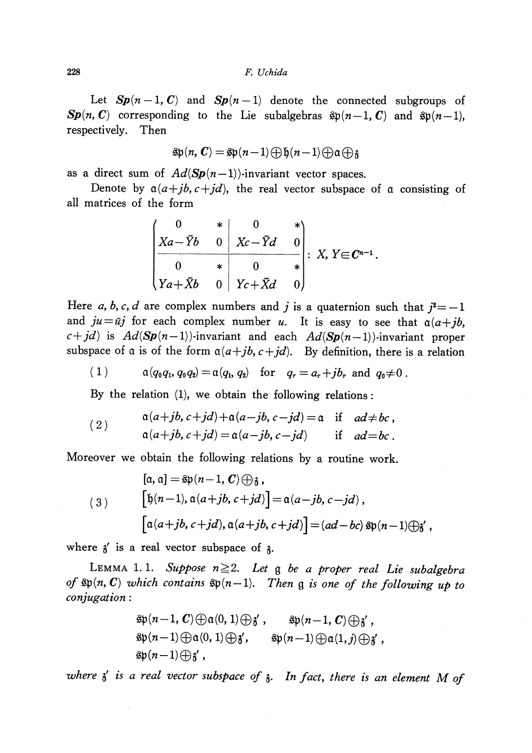Let  $Sp(n-1, C)$  and  $Sp(n-1)$  denote the connected subgroups of  $\mathbf{Sp}(n, \mathbb{C})$  corresponding to the Lie subalgebras  $\mathfrak{sp}(n-1, \mathbb{C})$  and  $\mathfrak{sp}(n-1),$ respectively. Then

$$
\text{sp}(n, C) = \text{sp}(n-1) \bigoplus \text{b}(n-1) \bigoplus \alpha \bigoplus \text{c}
$$

as a direct sum of  $Ad(Sp(n-1))$ -invariant vector spaces.

Denote by  $\alpha(a+jb, c+jd)$ , the real vector subspace of  $\alpha$  consisting of all matrices of the form

$$
\begin{pmatrix} 0 & * & 0 & * \\ Xa - \bar{Y}b & 0 & Xc - \bar{Y}d & 0 \\ 0 & * & 0 & * \\ Ya + \bar{X}b & 0 & Yc + \bar{X}d & 0 \end{pmatrix} \colon X, Y \in \mathbb{C}^{n-1}.
$$

Here a, b, c, d are complex numbers and j is a quaternion such that  $j^{2}=-1$ and  $ju=\overline{u}j$  for each complex number u. It is easy to see that  $\alpha(a+jb,$  $c+jd$  is  $Ad(Sp(n-1))$ -invariant and each  $Ad(Sp(n-1))$ -invariant proper subspace of  $\alpha$  is of the form  $\alpha(a+jb, c+jd)$ . By definition, there is a relation

(1) 
$$
\alpha(q_0q_1, q_0q_2) = \alpha(q_1, q_2)
$$
 for  $q_r = a_r + jb_r$  and  $q_0 \neq 0$ .

By the relation (1), we obtain the following relations:

(2) 
$$
\alpha(a+jb, c+jd) + \alpha(a-jb, c-jd) = \alpha \quad \text{if} \quad ad \neq bc,
$$

$$
\alpha(a+jb, c+jd) = \alpha(a-jb, c-jd) \quad \text{if} \quad ad = bc.
$$

Moreover we obtain the following relations by a routine work.

$$
[\alpha, \alpha] = \text{sp}(n-1, C) \oplus \text{g},
$$
  
\n
$$
[\text{b}(n-1), \alpha(a+jb, c+jd)] = \alpha(a-jb, c-jd),
$$
  
\n
$$
[\alpha(a+jb, c+jd), \alpha(a+jb, c+jd)] = (ad-bc) \text{sp}(n-1) \oplus \text{g}',
$$

where  $\delta'$  is a real vector subspace of  $\delta$ .

LEMMA 1.1. Suppose  $n \geq 2$ . Let  $\mathfrak{g}$  be a proper real Lie subalgebra of  $\mathfrak{sp}(n,\mathbf{C})$  which contains  $\mathfrak{sp}(n-1)$ . Then  $\mathfrak{g}$  is one of the following up to conjugation :

$$
\mathfrak{sp}(n-1,\mathbf{C})\oplus\mathfrak{a}(0,1)\oplus\mathfrak{z}', \qquad \mathfrak{sp}(n-1,\mathbf{C})\oplus\mathfrak{z}',\n\mathfrak{sp}(n-1)\oplus\mathfrak{a}(0,1)\oplus\mathfrak{z}', \qquad \mathfrak{sp}(n-1)\oplus\mathfrak{a}(1,j)\oplus\mathfrak{z}',\n\mathfrak{sp}(n-1)\oplus\mathfrak{z}',
$$

where  $\chi'$  is a real vector subspace of  $\chi$ . In fact, there is an element M of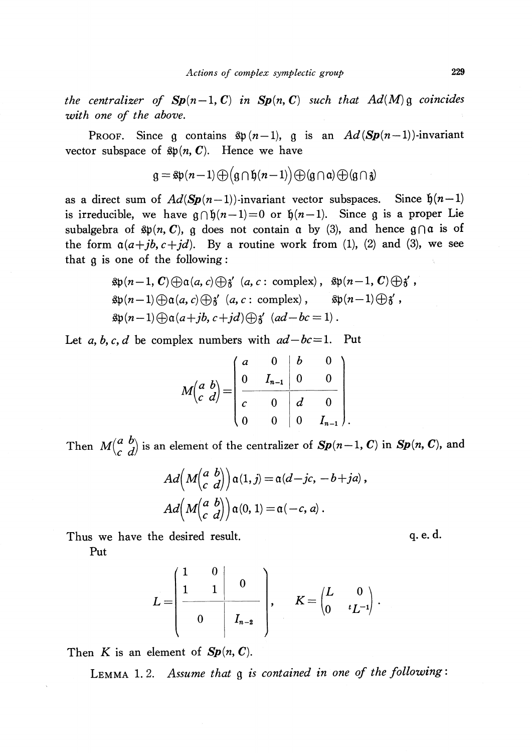the centralizer of  $\mathbf{Sp}(n-1, \mathbf{C})$  in  $\mathbf{Sp}(n, \mathbf{C})$  such that  $Ad(M)\mathfrak{g}$  coincides with one of the above.

PROOF. Since  $\mathfrak{g}$  contains  $\mathfrak{sp} (n-1)$ ,  $\mathfrak{g}$  is an  $Ad(Sp(n-1))$ -invariant vector subspace of  $\mathfrak{sp}(n, \textbf{\textit{C}})$ . Hence we have

$$
g = \text{Sp}(n-1) \bigoplus (g \cap \text{f}(n-1)) \bigoplus (g \cap \text{a}) \bigoplus (g \cap \text{f})
$$

as a direct sum of  $Ad(Sp(n-1))$ -invariant vector subspaces. Since  $\mathfrak{h}(n-1)$ is irreducible, we have  $\mathfrak{g}\cap \mathfrak{h}(n-1)=0$  or  $\mathfrak{h}(n-1)$ . Since  $\mathfrak{g}$  is a proper Lie subalgebra of  $\mathfrak{sp}(n, \mathbf{C})$ ,  $\mathfrak{g}$  does not contain  $\mathfrak{a}$  by (3), and hence  $\mathfrak{g}\cap \mathfrak{a}$  is of the form  $a(a+jb, c+jd)$ . By a routine work from (1), (2) and (3), we see that  $\mathfrak{g}$  is one of the following:

$$
\mathfrak{sp}(n-1, \mathbf{C}) \oplus \mathfrak{a}(a, c) \oplus \mathfrak{z}' \ (a, c : \text{complex}), \ \mathfrak{sp}(n-1, \mathbf{C}) \oplus \mathfrak{z}',
$$
  
\n
$$
\mathfrak{sp}(n-1) \oplus \mathfrak{a}(a, c) \oplus \mathfrak{z}' \ (a, c : \text{complex}), \ \mathfrak{sp}(n-1) \oplus \mathfrak{z}',
$$
  
\n
$$
\mathfrak{sp}(n-1) \oplus \mathfrak{a}(a+jb, c+jd) \oplus \mathfrak{z}' \ (ad-bc=1).
$$

Let a, b, c, d be complex numbers with  $ad-bc=1$ . Put

$$
M\begin{pmatrix} a & b \\ c & d \end{pmatrix} = \begin{pmatrix} a & 0 & b & 0 \\ 0 & I_{n-1} & 0 & 0 \\ \hline c & 0 & d & 0 \\ 0 & 0 & 0 & I_{n-1} \end{pmatrix}.
$$

Then  $M(\begin{matrix} a & b \\ c & d \end{matrix})$  is an element of the centralizer of  $Sp(n-1, C)$  in  $Sp(n, C)$ , and

$$
Ad\left(M\begin{pmatrix} a & b \\ c & d \end{pmatrix}\right) \alpha(1, j) = \alpha(d - jc, -b + ja),
$$
  

$$
Ad\left(M\begin{pmatrix} a & b \\ c & d \end{pmatrix}\right) \alpha(0, 1) = \alpha(-c, a).
$$

Thus we have the desired result.

Put

$$
L = \begin{pmatrix} 1 & 0 & & \\ 1 & 1 & 0 & \\ & & 0 & \\ 0 & & I_{n-2} & \end{pmatrix}, \qquad K = \begin{pmatrix} L & 0 & \\ 0 & {}^{t}L^{-1} \end{pmatrix}.
$$

Then K is an element of  $Sp(n, C)$ .

<span id="page-3-0"></span>LEMMA 1.2. Assume that  $\mathfrak{g}$  is contained in one of the following: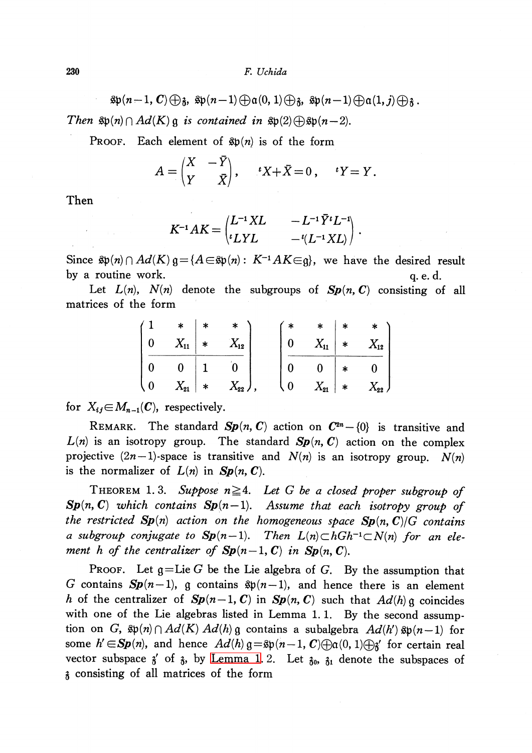230 F. Uchida

 $\mathfrak{sp}(n-1, C)\oplus\mathfrak{z}, \mathfrak{sp}(n-1)\oplus\mathfrak{a}(0,1)\oplus\mathfrak{z}, \mathfrak{sp}(n-1)\oplus\mathfrak{a}(1,j)\oplus\mathfrak{z}$ 

Then  $\mathfrak{sp}(n)\cap Ad(K)\mathfrak{g}$  is contained in  $\mathfrak{sp}(2)\bigoplus \mathfrak{sp}(n-2)$ .

PROOF. Each element of  $\mathfrak{sp}(n)$  is of the form

$$
A = \begin{pmatrix} X & -Y \\ Y & \bar{X} \end{pmatrix}, \quad {}^{t}X + \bar{X} = 0 \,, \quad {}^{t}Y = Y \,.
$$

Then

$$
K^{-1}AK = \begin{pmatrix} L^{-1}XL & -L^{-1}\bar{Y}^tL^{-1} \\ {}^tLYL & -{}^t(L^{-1}XL) \end{pmatrix}.
$$

Since  $\mathfrak{sp}(n)\cap Ad(K)$   $\mathfrak{g}=\{A\!\in\!\mathfrak{sp}(n) :\ K^{-1}AK\!\in \!\mathfrak{g}\}$ , we have the desired result by a routine work.  $q.e.d.$ 

Let  $L(n)$ ,  $N(n)$  denote the subgroups of  $Sp(n, C)$  consisting of all matrices of the form

| $\ast$     | $\ast$ | $\ast$   |   | $\ast$         | $*$    | $*$      |
|------------|--------|----------|---|----------------|--------|----------|
| $X_{11}$ * |        | $X_{12}$ |   | $X_{11}$       | $\ast$ | $X_{12}$ |
|            |        |          |   | $\overline{0}$ | $\ast$ |          |
| $X_{21}$   | $\ast$ | $X_{22}$ | 0 | $X_{21}$       | $*$    | $X_{22}$ |

for  $X_{ij} \in M_{n-1}(C)$ , respectively.

REMARK. The standard  $Sp(n, C)$  action on  $C^{2n}-\{0\}$  is transitive and  $L(n)$  is an isotropy group. The standard  $Sp(n, C)$  action on the complex projective  $(2n-1)$ -space is transitive and  $N(n)$  is an isotropy group.  $N(n)$ is the normalizer of  $L(n)$  in  $Sp(n, C)$ .

<span id="page-4-0"></span>THEOREM 1.3. Suppose  $n \geq 4$ . Let G be a closed proper subgroup of  $\mathbf{Sp}(n, \mathbb{C})$  which contains  $\mathbf{Sp}(n-1)$ . Assume that each isotropy group of the restricted  $Sp(n)$  action on the homogeneous space  $Sp(n, C)/G$  contains a subgroup conjugate to  $\mathbf{Sp}(n-1)$ . Then  $L(n)\subset hGh^{-1}\subset N(n)$  for an element h of the centralizer of  $Sp(n-1, C)$  in  $Sp(n, C)$ .

PROOF. Let  $\mathfrak{g}$ =Lie G be the Lie algebra of G. By the assumption that G contains  $\mathbf{Sp}(n-1)$ , g contains  $\mathfrak{sp}(n-1)$ , and hence there is an element h of the centralizer of  $Sp(n-1, C)$  in  $Sp(n, C)$  such that  $Ad(h)\mathfrak{g}$  coincides with one of the Lie algebras listed in Lemma 1.1. By the second assumption on G,  $\mathfrak{sp}(n)\cap Ad(K)\ Ad(h)\mathfrak{g}$  contains a subalgebra  $Ad(h')\ \mathfrak{sp}(n-1)$  for some  $h' \in \mathbf{Sp}(n)$ , and hence  $Ad(h) \mathfrak{g}=\mathfrak{sp}(n-1, C)\bigoplus\mathfrak{g}(0,1)\bigoplus\mathfrak{g}'$  for certain real vector subspace  $\delta'$  of  $\delta$ , by [Lemma](#page-3-0) 1. 2. Let  $\delta_{0}$ ,  $\delta_{1}$  denote the subspaces of  $\lambda$  consisting of all matrices of the form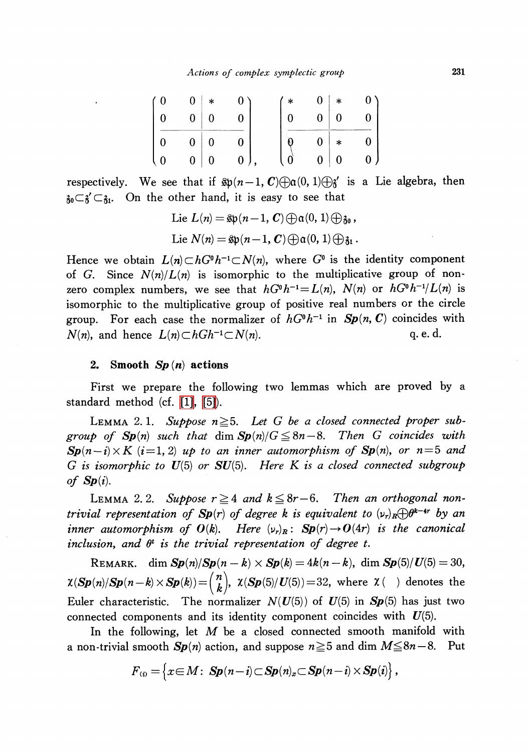| (0)                                          | $\mathbf{0}$ | ∗              |              | $\ast$         | 0 <sub>1</sub> | $*$          |  |
|----------------------------------------------|--------------|----------------|--------------|----------------|----------------|--------------|--|
|                                              | $\mathbf{0}$ | $\vert 0$      |              | $\overline{0}$ | $\overline{0}$ | $\mathbf{0}$ |  |
| $\mathbf{0}$                                 | $\mathbf{0}$ | $\overline{0}$ |              |                | 0 <sup>1</sup> | $\ast$       |  |
| $\overline{\mathcal{L}}$<br>$\boldsymbol{0}$ | $\mathbf{0}$ | $\vert 0$      | $\mathbf{0}$ |                | 0 <sup>1</sup> | $\bf{0}$     |  |

respectively. We see that if  $\mathfrak{sp}(n-1, \mathbb{C})\oplus\mathfrak{a}(0,1)\oplus\mathfrak{z}'$  is a Lie algebra, then  $\mathfrak{z}_0 \mathbb{C} \mathfrak{z}' \mathbb{C} \mathfrak{z}_1$ . On the other hand, it is easy to see that

Lie 
$$
L(n) = \text{Sp}(n-1, C) \bigoplus \alpha(0, 1) \bigoplus \beta_0
$$
,  
Lie  $N(n) = \text{Sp}(n-1, C) \bigoplus \alpha(0, 1) \bigoplus \beta_1$ .

Hence we obtain  $L(n)\subset hG^{0}h^{-1}\subset N(n)$ , where  $G^{0}$  is the identity component of G. Since  $N(n)/L(n)$  is isomorphic to the multiplicative group of nonzero complex numbers, we see that  $hG^{0}h^{-1}=L(n)$ ,  $N(n)$  or  $hG^{0}h^{-1}/L(n)$  is isomorphic to the multiplicative group of positive real numbers or the circle group. For each case the normalizer of  $hG^{0}h^{-1}$  in  $Sp(n, C)$  coincides with  $N(n)$ , and hence  $L(n)\subset hGh^{-1}\subset N(n)$ . q. e. d.

# 2. Smooth  $Sp(n)$  actions

First we prepare the following two lemmas which are proved by a standard method (cf. [\[1\],](#page-10-2) [\[5\]\)](#page-10-1).

LEMMA 2.1. Suppose  $n \geq 5$ . Let G be a closed connected proper subgroup of  $Sp(n)$  such that dim  $Sp(n)/G \leq 8n-8$ . Then G coincides with  $\mathbf{Sp}(n-i)\times K$  (i=1, 2) up to an inner automorphism of  $\mathbf{Sp}(n)$ , or  $n=5$  and G is isomorphic to  $U(5)$  or  $SU(5)$ . Here K is a closed connected subgroup of  $Sp(i)$ .

LEMMA 2.2. Suppose  $r \geq 4$  and  $k \leq 8r-6$ . Then an orthogonal nontrivial representation of  $Sp(r)$  of degree k is equivalent to  $(\nu_{r})_{R}\oplus\theta^{k-4r}$  by an inner automorphism of  $O(k)$ . Here  $(\nu_{r})_{R}$ :  $Sp(r) \rightarrow O(4r)$  is the canonical inclusion, and  $\theta^{t}$  is the trivial representation of degree t.

REMARK. dim  $\mathbf{Sp}(n)/\mathbf{Sp}(n-k)\times \mathbf{Sp}(k)=4k(n-k),$  dim  $\mathbf{Sp}(5)/U(5)=30,$  $\chi(\mathbf{Sp}(n)/\mathbf{Sp}(n-k)\times \mathbf{Sp}(k))=(\begin{pmatrix}n\\k\end{pmatrix} , \ \chi(\mathbf{Sp}(5)/U(5))=32,$  where  $\chi$  ( ) denotes the Euler characteristic. The normalizer  $N(U(5))$  of  $U(5)$  in  $Sp(5)$  has just two connected components and its identity component coincides with  $U(5)$ .

In the following, let  $M$  be a closed connected smooth manifold with a non-trivial smooth  $Sp(n)$  action, and suppose  $n\geq 5$  and dim  $M\leq 8n-8$ . Put

$$
F_{(i)} = \left\{x \in M: \ \mathbf{Sp}(n-i) \subset \mathbf{Sp}(n)_x \subset \mathbf{Sp}(n-i) \times \mathbf{Sp}(i)\right\},\,
$$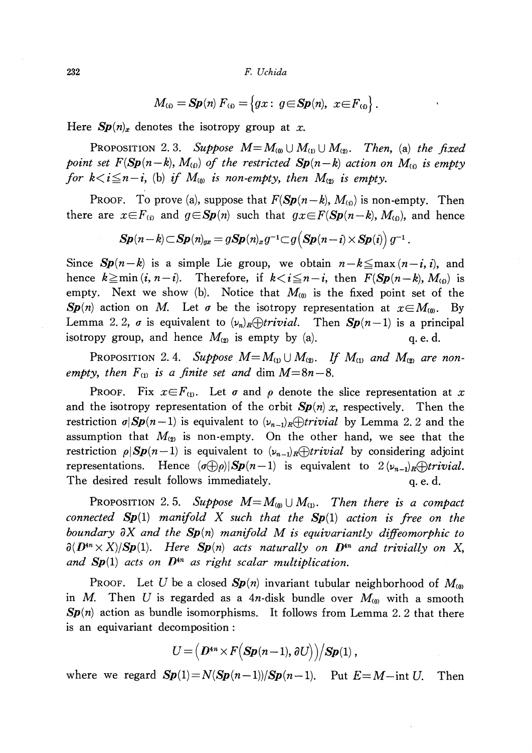232 F. Uchida

$$
M_{\scriptscriptstyle(i)} = \mathbf{Sp}(n) \, F_{\scriptscriptstyle(i)} = \left\{ gx : \ g \in \mathbf{Sp}(n), \ x \in F_{\scriptscriptstyle(i)} \right\}.
$$

Here  $Sp(n)_{x}$  denotes the isotropy group at x.

PROPOSITION 2.3. Suppose  $M=M_{(0)}\cup M_{(1)}\cup M_{(2)}$ . Then, (a) the fixed point set  $F(\mathbf{Sp}(n-k), M_{(i)})$  of the restricted  $\mathbf{Sp}(n-k)$  action on  $M_{(i)}$  is empty for  $k < i \leq n-i$ , (b) if  $M_{(0)}$  is non-empty, then  $M_{(2)}$  is empty.

PROOF. To prove (a), suppose that  $F(\mathbf{Sp}(n-k), M_{(i)})$  is non-empty. Then there are  $x\in F_{(i)}$  and  $g\in Sp(n)$  such that  $gx\in F(Sp(n-k), M_{(i)})$ , and hence

$$
\boldsymbol{Sp}(n-k)\!\subset\!\boldsymbol{Sp}(n)_{\!x}=g\boldsymbol{Sp}(n)_{x}g^{-1}\!\subset\! g\!\left(\boldsymbol{Sp}(n-i)\!\times\!\boldsymbol{Sp}(i)\right)g^{-1}\,.
$$

Since  $Sp(n-k)$  is a simple Lie group, we obtain  $n-k \leq max(n-i, i)$ , and hence  $k \geq \min(i, n-i)$ . Therefore, if  $k < i \leq n-i$ , then  $F(\mathbf{Sp}(n-k), M_{(i)})$  is empty. Next we show (b). Notice that  $M_{(0)}$  is the fixed point set of the  $Sp(n)$  action on M. Let  $\sigma$  be the isotropy representation at  $x\in M_{(0)}$ . By Lemma 2.2,  $\sigma$  is equivalent to  $(\nu_{n})_{R}\oplus trivial$ . Then  $\mathbf{Sp}(n-1)$  is a principal isotropy group, and hence  $M_{(2)}$  is empty by (a). q. e. d.

<span id="page-6-1"></span>Proposition 2.4. Suppose  $M{=}\,M_{\scriptscriptstyle{(1)}}\cup M_{\scriptscriptstyle{(2)}}$ . If  $M_{\scriptscriptstyle{(1)}}$  and  $M_{\scriptscriptstyle{(2)}}$  are nonempty, then  $F_{(1)}$  is a finite set and dim  $M=8n-8$ .

PROOF. Fix  $x\in F_{(1)}$ . Let  $\sigma$  and  $\rho$  denote the slice representation at x and the isotropy representation of the orbit  $Sp(n)x$ , respectively. Then the restriction  $\sigma|Sp(n-1)$  is equivalent to  $(\nu_{n-1})_{R}\oplus trivial$  by Lemma 2. 2 and the assumption that  $M_{(2)}$  is non-empty. On the other hand, we see that the restriction  $\rho|Sp(n-1)$  is equivalent to  $(\nu_{n-1})_{R}\oplus trivial$  by considering adjoint representations. Hence  $(\sigma\bigoplus\rho)|S\pmb{p}(n-1)$  is equivalent to  $2 (\nu_{n-1})_{R}\bigoplus trivial$ . The desired result follows immediately.  $q.e.d.$ 

<span id="page-6-0"></span>PROPOSITION 2.5. Suppose  $M=M_{(0)}\cup M_{(1)}$ . Then there is a compact connected  $Sp(1)$  manifold X such that the  $Sp(1)$  action is free on the boundary  $\partial X$  and the  $\mathbf{Sp}(n)$  manifold M is equivariantly diffeomorphic to  $\partial(D^{4n}\times X)/Sp(1)$ . Here  $Sp(n)$  acts naturally on  $D^{4n}$  and trivially on X, and  $Sp(1)$  acts on  $D^{4n}$  as right scalar multiplication.

PROOF. Let U be a closed  $Sp(n)$  invariant tubular neighborhood of  $M_{(0)}$ in M. Then U is regarded as a 4n-disk bundle over  $M_{(0)}$  with a smooth  $Sp(n)$  action as bundle isomorphisms. It follows from Lemma 2.2 that there is an equivariant decomposition :

$$
U = (D^{4n} \times F(Sp(n-1), \partial U)) / Sp(1),
$$

where we regard  $Sp(1) = N(Sp(n-1))/Sp(n-1)$ . Put  $E=M-$ int U. Then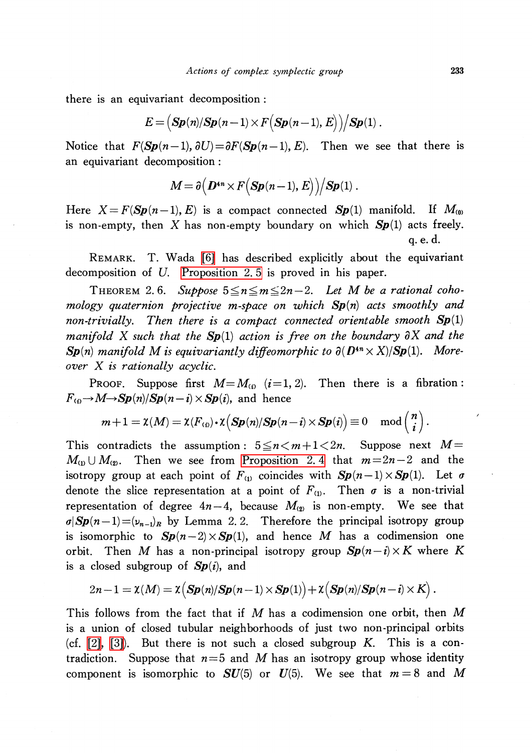there is an equivariant decomposition:

$$
E = (Sp(n)/Sp(n-1) \times F(Sp(n-1), E)\big)/Sp(1).
$$

Notice that  $F(\mathbf{Sp}(n-1), \partial U)=\partial F(\mathbf{Sp}(n-1), E)$ . Then we see that there is an equivariant decomposition :

$$
M = \partial (D^{4n} \times F(Sp(n-1), E)\big)/Sp(1).
$$

Here  $X = F(Sp(n-1), E)$  is a compact connected  $Sp(1)$  manifold. If  $M_{(0)}$ is non-empty, then X has non-empty boundary on which  $Sp(1)$  acts freely. q. e. d.

REMARK. T. Wada [\[6\]](#page-10-3) has described explicitly about the equivariant decomposition of U. [Proposition](#page-6-0) 2. 5 is proved in his paper.

<span id="page-7-0"></span>THEOREM 2.6. Suppose  $5\leq n\leq m\leq 2n-2$ . Let M be a rational cohomology quaternion projective m-space on which  $Sp(n)$  acts smoothly and non-trivially. Then there is a compact connected orientable smooth  $Sp(1)$ manifold X such that the  $Sp(1)$  action is free on the boundary  $\partial X$  and the  $\mathbf{Sp}(n)$  manifold M is equivariantly diffeomorphic to  $\partial(D^{4n}\times X)/Sp(1)$ . Moreover X is rationally acyclic.

PROOF. Suppose first  $M=M_{(i)}$  (i=1, 2). Then there is a fibration :  $F_{(i)} \rightarrow M \rightarrow Sp(n)/Sp(n-i)\times Sp(i)$ , and hence

$$
m+1=\chi(M)=\chi(F_{(i)})\cdot\chi\Big(\boldsymbol{Sp}(n)/\boldsymbol{Sp}(n-i)\times\boldsymbol{Sp}(i)\Big)\equiv 0\ \ \mod\left(\frac{n}{i}\right).
$$

This contradicts the assumption:  $5\leq n\leq m+1<2n$ . Suppose next  $M=$  $M_{(1)}\cup M_{(2)}$ . Then we see from [Proposition](#page-6-1) 2.4 that  $m=2n-2$  and the isotropy group at each point of  $F_{(1)}$  coincides with  $Sp(n-1)\times Sp(1)$ . Let  $\sigma$ denote the slice representation at a point of  $F_{(1)}$ . Then  $\sigma$  is a non-trivial representation of degree  $4n-4$ , because  $M_{(2)}$  is non-empty. We see that  $\sigma|Sp(n-1)=(\nu_{n-1})_{R}$  by Lemma 2. 2. Therefore the principal isotropy group is isomorphic to  $Sp(n-2)\times Sp(1)$ , and hence M has a codimension one orbit. Then M has a non-principal isotropy group  $\mathbf{Sp}(n-i)\times K$  where K is a closed subgroup of  $Sp(i)$ , and

$$
2n-1=\mathsf{X}(M)=\mathsf{X}\big(\mathbf{Sp}(n)/\mathbf{Sp}(n-1)\times\mathbf{Sp}(1)\big)+\mathsf{X}\big(\mathbf{Sp}(n)/\mathbf{Sp}(n-i)\times\mathbf{K}\big)\,.
$$

This follows from the fact that if  $M$  has a codimension one orbit, then  $M$ is a union of closed tubular neighborhoods of just two non-principal orbits (cf. [\[2\],](#page-10-4) [\[3\]\)](#page-10-5). But there is not such a closed subgroup K. This is a contradiction. Suppose that  $n=5$  and M has an isotropy group whose identity component is isomorphic to  $SU(5)$  or  $U(5)$ . We see that  $m=8$  and M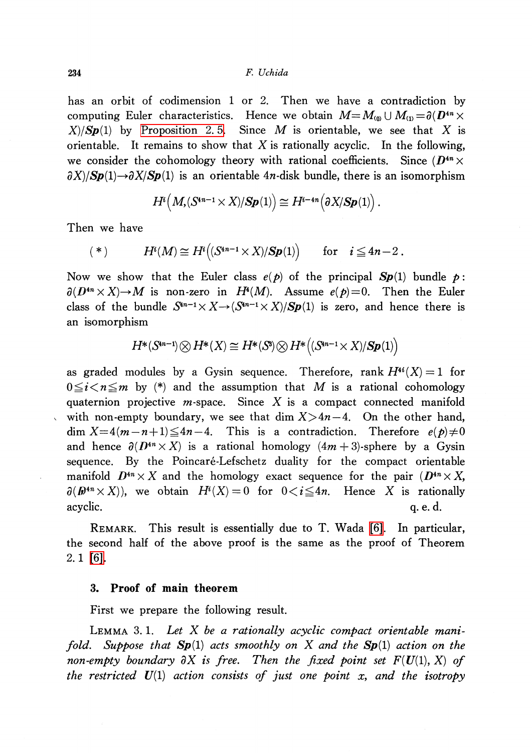has an orbit of codimension <sup>1</sup> or 2. Then we have a contradiction by computing Euler characteristics. Hence we obtain  $M=M_{(0)}\cup M_{(1)}=\partial(D^{4n}\times$  $X|Sp(1)$  by [Proposition](#page-6-0) 2.5. Since M is orientable, we see that X is orientable. It remains to show that X is rationally acyclic. In the following, we consider the cohomology theory with rational coefficients. Since  $(D^{4n}\times$  $\partial X$ / $\partial Sp(1) \rightarrow \partial X/Sp(1)$  is an orientable 4n-disk bundle, there is an isomorphism

$$
H^i\big(M,(S^{4n-1}\times X)/Sp(1)\big)\cong H^{i-4n}\big(\partial X/Sp(1)\big)\,.
$$

Then we have

$$
(*) \tHi(M) \cong Hi \big( (S4n-1 \times X)/Sp(1) \big) \tfor \t i \leq 4n-2.
$$

Now we show that the Euler class  $e(p)$  of the principal  $Sp(1)$  bundle p:  $\partial(D^{4n}\times X)\rightarrow M$  is non-zero in  $H^{4}(M)$ . Assume  $e(p)=0$ . Then the Euler class of the bundle  $S^{4n-1}\times X\rightarrow(S^{4n-1}\times X)/Sp(1)$  is zero, and hence there is an isomorphism

$$
H^*(S^{4n-1}) \otimes H^*(X) \cong H^*(S^{\mathsf{s}}) \otimes H^*\bigl((S^{4n-1} \times X)/\textbf{Sp}(1)\bigr)
$$

as graded modules by a Gysin sequence. Therefore, rank  $H^{4i}(X)=1$  for  $0\leq i\leq n\leq m$  by (\*) and the assumption that M is a rational cohomology quaternion projective  $m$ -space. Since  $X$  is a compact connected manifold with non-empty boundary, we see that dim  $X>4n-4$ . On the other hand,  $\dim X=4(m-n+1)\leq 4n-4$ . This is a contradiction. Therefore  $e(p)\neq 0$ and hence  $\partial(D^{4n}\times X)$  is a rational homology  $(4m+3)$ -sphere by a Gysin sequence. By the Poincaré-Lefschetz duality for the compact orientable manifold  $D^{4n}\times X$  and the homology exact sequence for the pair  $(D^{4n}\times X,$  $\partial(\textbf{\textit{D}}^{4n}\times X)$ ), we obtain  $H^{i}(X)=0$  for  $0\!<\!i\!\leq\! 4n.$  Hence  $X$  is rationally acyclic.  $q. e. d.$ 

REMARK. This result is essentially due to T. Wada [\[6\].](#page-10-3) In particular, the second haH of the above proof is the same as the proof of Theorem 2. 1 [\[6\].](#page-10-3)

## 3. Proof of main theorem

First we prepare the following result.

LEMMA 3.1. Let  $X$  be a rationally acyclic compact orientable manifold. Suppose that  $Sp(1)$  acts smoothly on X and the  $Sp(1)$  action on the non-empty boundary  $\partial X$  is free. Then the fixed point set  $F(U(1), X)$  of the restricted  $U(1)$  action consists of just one point x, and the isotropy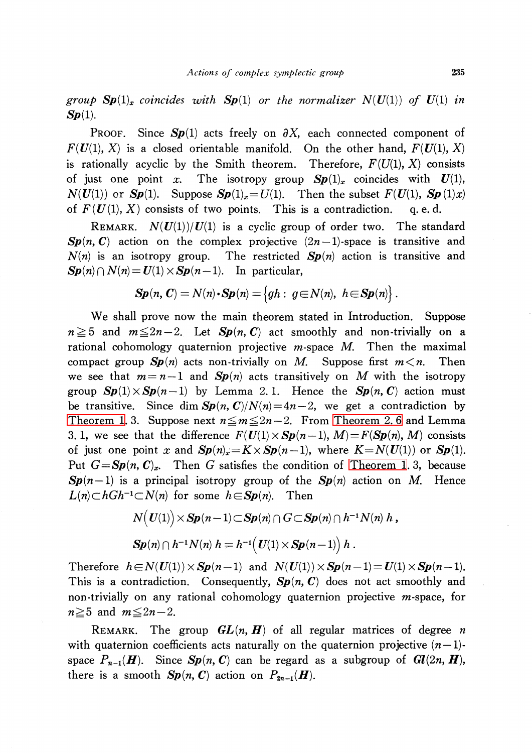group  $Sp(1)_{x}$  coincides with  $Sp(1)$  or the normalizer  $N(U(1))$  of  $U(1)$  in  $Sp(1)$ .

PROOF. Since  $Sp(1)$  acts freely on  $\partial X$ , each connected component of  $F(U(1), X)$  is a closed orientable manifold. On the other hand,  $F(U(1), X)$ is rationally acyclic by the Smith theorem. Therefore,  $F(U(1), X)$  consists of just one point x. The isotropy group  $Sp(1)_{x}$  coincides with  $U(1)$ ,  $N(U(1))$  or  $Sp(1)$ . Suppose  $Sp(1)_{x}=U(1)$ . Then the subset  $F(U(1), Sp(1)x)$ of  $F(U(1), X)$  consists of two points. This is a contradiction. q. e.d.

REMARK.  $N(U(1))/U(1)$  is a cyclic group of order two. The standard  $Sp(n, C)$  action on the complex projective  $(2n-1)$ -space is transitive and  $N(n)$  is an isotropy group. The restricted  $Sp(n)$  action is transitive and  $\mathbf{Sp}(n)\cap N(n)=U(1)\times \mathbf{Sp}(n-1)$ . In particular,

$$
\mathbf{Sp}(n,\mathbf{C})=N(n)\cdot\mathbf{Sp}(n)=\left\{gh:\; g\!\in\!N(n),\; h\!\in\!\mathbf{Sp}(n)\right\}.
$$

We shall prove now the main theorem stated in Introduction. Suppose  $n\geq 5$  and  $m\leq 2n-2$ . Let  $Sp(n, C)$  act smoothly and non-trivially on a rational cohomology quaternion projective  $m$ -space  $M$ . Then the maximal compact group  $Sp(n)$  acts non-trivially on M. Suppose first  $m < n$ . Then we see that  $m=n-1$  and  $Sp(n)$  acts transitively on M with the isotropy group  $Sp(1)\times Sp(n-1)$  by Lemma 2.1. Hence the  $Sp(n, C)$  action must be transitive. Since dim  $Sp(n, C)/N(n) = 4n-2$ , we get a contradiction by [Theorem](#page-7-0) 1. 3. Suppose next  $n\leq m\leq 2n-2$ . From Theorem 2.6 and Lemma 3. 1, we see that the difference  $F(U(1)\times Sp(n-1), M)=F(Sp(n), M)$  consists of just one point x and  $Sp(n)_{x}=K\times Sp(n-1)$ , where  $K=N(U(1))$  or  $Sp(1)$ . Put  $G=Sp(n, C)_{x}$ . Then G satisfies the condition of [Theorem](#page-4-0) 1. 3, because  $Sp(n-1)$  is a principal isotropy group of the  $Sp(n)$  action on M. Hence  $L(n)\subset hGh^{-1}\subset N(n)$  for some  $h\in Sp(n)$ . Then

$$
N(U(1)) \times Sp(n-1) \subset Sp(n) \cap G \subset Sp(n) \cap h^{-1}N(n) h,
$$
  
 
$$
Sp(n) \cap h^{-1}N(n) h = h^{-1}(U(1) \times Sp(n-1)) h.
$$

Therefore  $h\in N(U(1))\times Sp(n-1)$  and  $N(U(1))\times Sp(n-1)=U(1)\times Sp(n-1)$ . This is a contradiction. Consequently,  $Sp(n, C)$  does not act smoothly and non-trivially on any rational cohomology quaternion projective  $m$ -space, for  $n\geq 5$  and  $m\leq 2n-2$ .

REMARK. The group  $GL(n, H)$  of all regular matrices of degree n with quaternion coefficients acts naturally on the quaternion projective  $(n-1)$ space  $P_{n-1}(H)$ . Since  $Sp(n, C)$  can be regard as a subgroup of  $Gl(2n, H)$ , there is a smooth  $Sp(n, C)$  action on  $P_{2n-1}(H)$ .